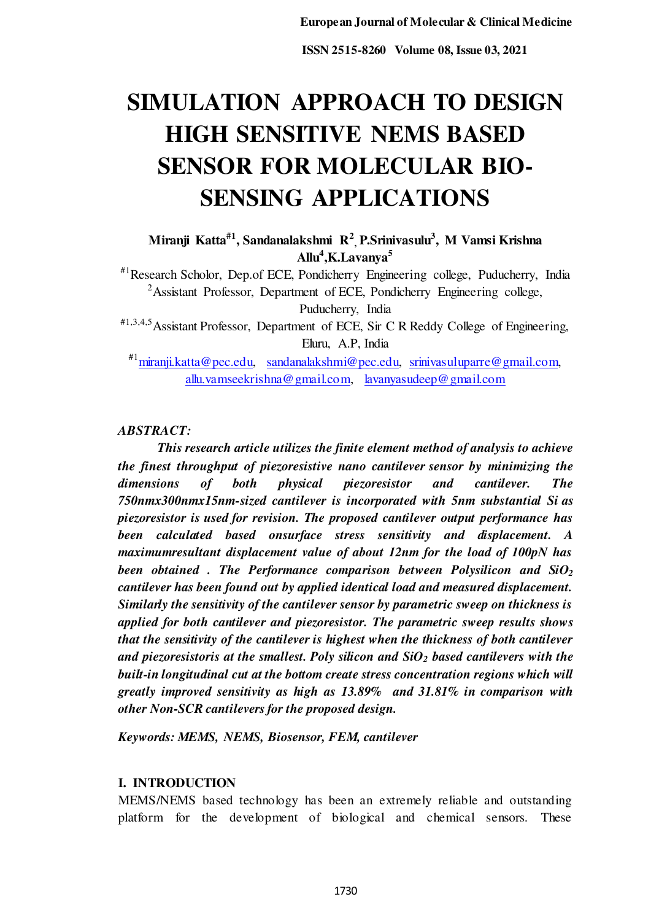# **SIMULATION APPROACH TO DESIGN HIGH SENSITIVE NEMS BASED SENSOR FOR MOLECULAR BIO-SENSING APPLICATIONS**

**Miranji Katta#1, Sandanalakshmi R<sup>2</sup> , P.Srinivasulu<sup>3</sup> , M Vamsi Krishna Allu<sup>4</sup> ,K.Lavanya<sup>5</sup>**

#1Research Scholor, Dep.of ECE, Pondicherry Engineering college, Puducherry, India <sup>2</sup>Assistant Professor, Department of ECE, Pondicherry Engineering college, Puducherry, India

#1,3,4,5Assistant Professor, Department of ECE, Sir C R Reddy College of Engineering, Eluru, A.P, India

#1[miranji.katta@pec.edu,](mailto:miranji.katta@pec.edu) [sandanalakshmi@pec.edu,](mailto:sandanalakshmi@pec.edu) [srinivasuluparre@gmail.com,](mailto:srinivasuluparre@gmail.com)  [allu.vamseekrishna@gmail.com,](mailto:allu.vamseekrishna@gmail.com) [lavanyasudeep@gmail.com](mailto:lavanyasudeep@gmail.com)

*ABSTRACT:* 

 *This research article utilizes the finite element method of analysis to achieve the finest throughput of piezoresistive nano cantilever sensor by minimizing the dimensions of both physical piezoresistor and cantilever. The 750nmx300nmx15nm-sized cantilever is incorporated with 5nm substantial Si as piezoresistor is used for revision. The proposed cantilever output performance has been calculated based onsurface stress sensitivity and displacement. A maximumresultant displacement value of about 12nm for the load of 100pN has been obtained . The Performance comparison between Polysilicon and SiO<sup>2</sup> cantilever has been found out by applied identical load and measured displacement. Similarly the sensitivity of the cantilever sensor by parametric sweep on thickness is applied for both cantilever and piezoresistor. The parametric sweep results shows that the sensitivity of the cantilever is highest when the thickness of both cantilever and piezoresistoris at the smallest. Poly silicon and SiO2 based cantilevers with the built-in longitudinal cut at the bottom create stress concentration regions which will greatly improved sensitivity as high as 13.89% and 31.81% in comparison with other Non-SCR cantilevers for the proposed design.* 

*Keywords: MEMS, NEMS, Biosensor, FEM, cantilever* 

# **I. INTRODUCTION**

MEMS/NEMS based technology has been an extremely reliable and outstanding platform for the development of biological and chemical sensors. These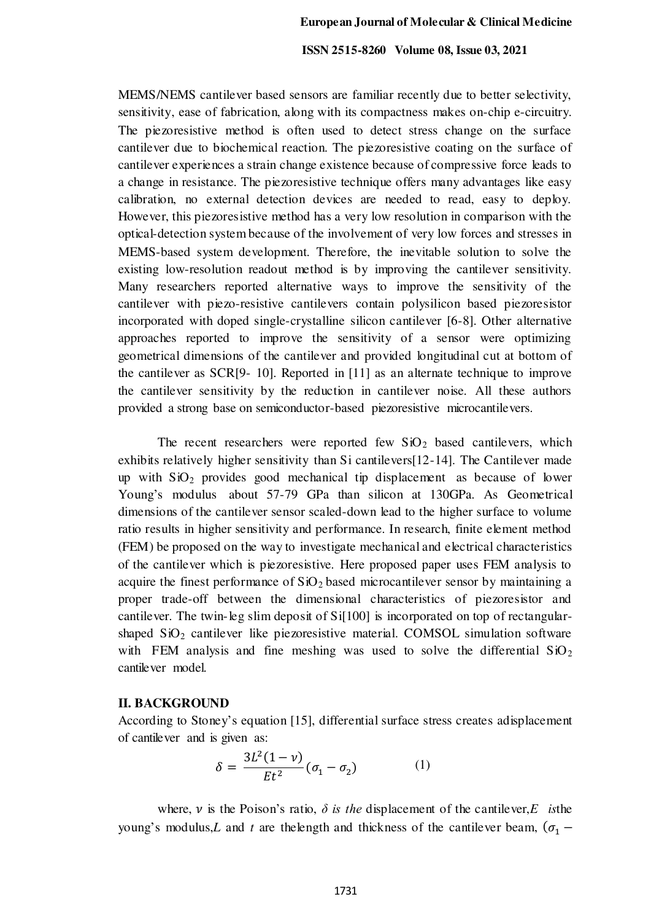MEMS/NEMS cantilever based sensors are familiar recently due to better selectivity, sensitivity, ease of fabrication, along with its compactness makes on-chip e-circuitry. The piezoresistive method is often used to detect stress change on the surface cantilever due to biochemical reaction. The piezoresistive coating on the surface of cantilever experiences a strain change existence because of compressive force leads to a change in resistance. The piezoresistive technique offers many advantages like easy calibration, no external detection devices are needed to read, easy to deploy. However, this piezoresistive method has a very low resolution in comparison with the optical-detection system because of the involvement of very low forces and stresses in MEMS-based system development. Therefore, the inevitable solution to solve the existing low-resolution readout method is by improving the cantilever sensitivity. Many researchers reported alternative ways to improve the sensitivity of the cantilever with piezo-resistive cantilevers contain polysilicon based piezoresistor incorporated with doped single-crystalline silicon cantilever [6-8]. Other alternative approaches reported to improve the sensitivity of a sensor were optimizing geometrical dimensions of the cantilever and provided longitudinal cut at bottom of the cantilever as SCR[9- 10]. Reported in [11] as an alternate technique to improve the cantilever sensitivity by the reduction in cantilever noise. All these authors provided a strong base on semiconductor-based piezoresistive microcantilevers.

The recent researchers were reported few  $SiO<sub>2</sub>$  based cantilevers, which exhibits relatively higher sensitivity than Si cantilevers[12-14]. The Cantilever made up with  $SiO<sub>2</sub>$  provides good mechanical tip displacement as because of lower Young's modulus about 57-79 GPa than silicon at 130GPa. As Geometrical dimensions of the cantilever sensor scaled-down lead to the higher surface to volume ratio results in higher sensitivity and performance. In research, finite element method (FEM) be proposed on the way to investigate mechanical and electrical characteristics of the cantilever which is piezoresistive. Here proposed paper uses FEM analysis to acquire the finest performance of  $SiO<sub>2</sub>$  based microcantilever sensor by maintaining a proper trade-off between the dimensional characteristics of piezoresistor and cantilever. The twin-leg slim deposit of Si[100] is incorporated on top of rectangularshaped  $SiO<sub>2</sub>$  cantilever like piezoresistive material. COMSOL simulation software with FEM analysis and fine meshing was used to solve the differential  $SiO<sub>2</sub>$ cantilever model.

## **II. BACKGROUND**

According to Stoney's equation [15], differential surface stress creates adisplacement of cantilever and is given as:

$$
\delta = \frac{3L^2(1-\nu)}{Et^2}(\sigma_1 - \sigma_2) \tag{1}
$$

where,  $\nu$  is the Poison's ratio,  $\delta$  *is the* displacement of the cantilever,*E isthe* young's modulus,*L* and *t* are the length and thickness of the cantilever beam,  $(\sigma_1 -$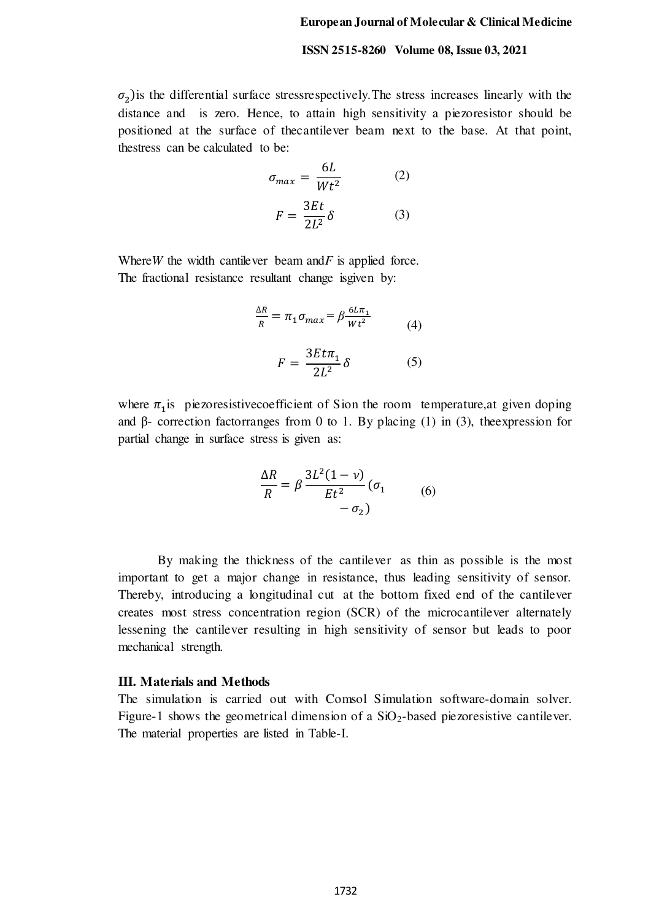$\sigma_2$ ) is the differential surface stressrespectively. The stress increases linearly with the distance and is zero. Hence, to attain high sensitivity a piezoresistor should be positioned at the surface of thecantilever beam next to the base. At that point, thestress can be calculated to be:

$$
\sigma_{max} = \frac{6L}{Wt^2}
$$
 (2)  

$$
F = \frac{3Et}{2L^2} \delta
$$
 (3)

Where*W* the width cantilever beam and*F* is applied force. The fractional resistance resultant change isgiven by:

$$
\frac{\Delta R}{R} = \pi_1 \sigma_{max} = \beta \frac{6L\pi_1}{Wt^2}
$$
(4)  

$$
F = \frac{3Et\pi_1}{2L^2} \delta
$$
(5)

where  $\pi_1$  is piezoresistive coefficient of Sion the room temperature, at given doping and β- correction factorranges from 0 to 1. By placing (1) in (3), the expression for partial change in surface stress is given as:

$$
\frac{\Delta R}{R} = \beta \frac{3L^2(1-\nu)}{Et^2} (\sigma_1 \qquad (6)
$$

$$
-\sigma_2)
$$

 By making the thickness of the cantilever as thin as possible is the most important to get a major change in resistance, thus leading sensitivity of sensor. Thereby, introducing a longitudinal cut at the bottom fixed end of the cantilever creates most stress concentration region (SCR) of the microcantilever alternately lessening the cantilever resulting in high sensitivity of sensor but leads to poor mechanical strength.

#### **III. Materials and Methods**

The simulation is carried out with Comsol Simulation software-domain solver. Figure-1 shows the geometrical dimension of a  $SiO<sub>2</sub>$ -based piezoresistive cantilever. The material properties are listed in Table-I.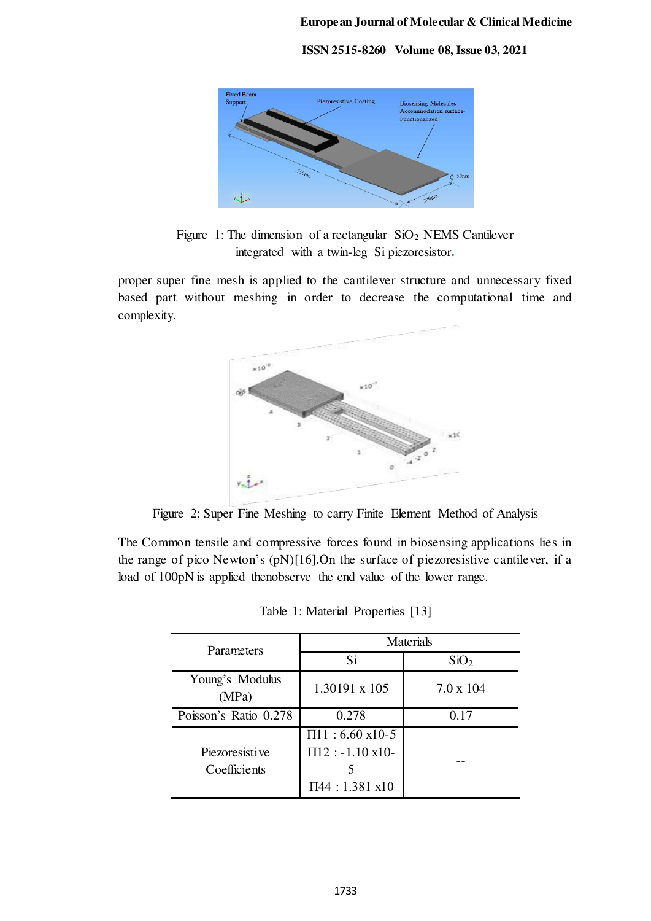

Figure 1: The dimension of a rectangular  $SiO<sub>2</sub>$  NEMS Cantilever integrated with a twin-leg Si piezoresistor**.** 

proper super fine mesh is applied to the cantilever structure and unnecessary fixed based part without meshing in order to decrease the computational time and complexity.



Figure 2: Super Fine Meshing to carry Finite Element Method of Analysis

The Common tensile and compressive forces found in biosensing applications lies in the range of pico Newton's (pN)[16].On the surface of piezoresistive cantilever, if a load of 100pN is applied thenobserve the end value of the lower range.

| Parameters                     | <b>Materials</b>                                                              |                  |
|--------------------------------|-------------------------------------------------------------------------------|------------------|
|                                | Si                                                                            | SiO <sub>2</sub> |
| Young's Modulus<br>(MPa)       | 1.30191 x 105                                                                 | $7.0 \times 104$ |
| Poisson's Ratio 0.278          | 0.278                                                                         | 0.17             |
| Piezoresistive<br>Coefficients | $\Pi11 : 6.60 \text{ x10-5}$<br>$\Pi$ 12 : -1.10 x10-<br>$\Pi$ 44 : 1.381 x10 |                  |

Table 1: Material Properties [13]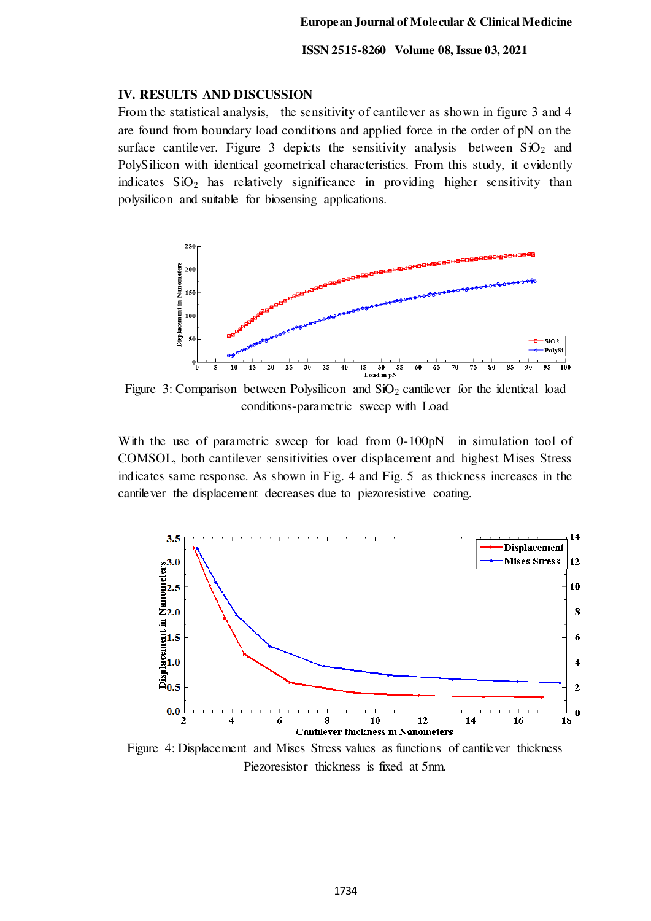## **IV. RESULTS AND DISCUSSION**

From the statistical analysis, the sensitivity of cantilever as shown in figure 3 and 4 are found from boundary load conditions and applied force in the order of pN on the surface cantilever. Figure 3 depicts the sensitivity analysis between  $SiO<sub>2</sub>$  and PolySilicon with identical geometrical characteristics. From this study, it evidently indicates  $SiO<sub>2</sub>$  has relatively significance in providing higher sensitivity than polysilicon and suitable for biosensing applications.



Figure 3: Comparison between Polysilicon and  $SiO<sub>2</sub>$  cantilever for the identical load conditions-parametric sweep with Load

With the use of parametric sweep for load from 0-100pN in simulation tool of COMSOL, both cantilever sensitivities over displacement and highest Mises Stress indicates same response. As shown in Fig. 4 and Fig. 5 as thickness increases in the cantilever the displacement decreases due to piezoresistive coating.



Figure 4: Displacement and Mises Stress values as functions of cantilever thickness Piezoresistor thickness is fixed at 5nm.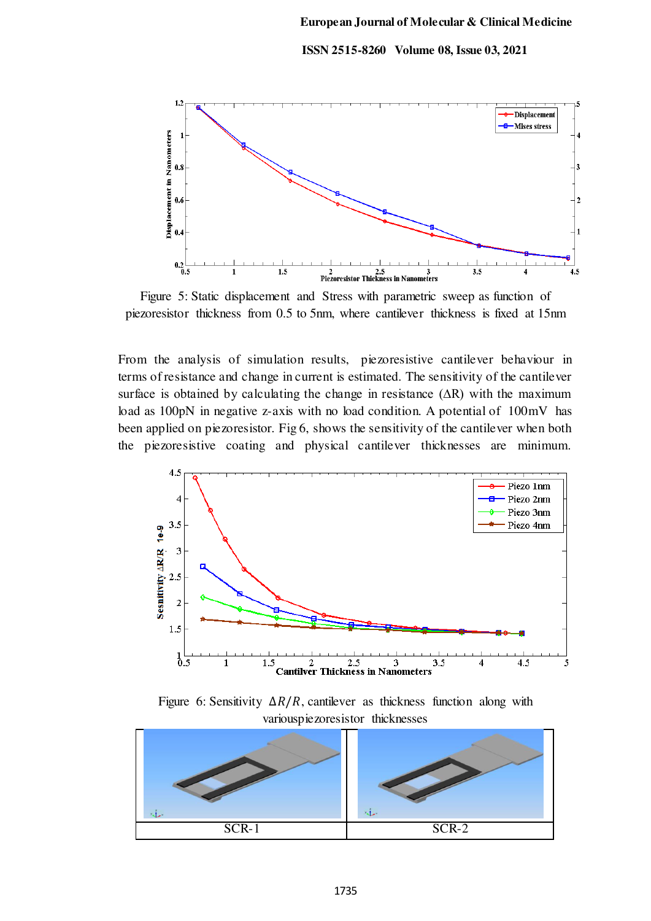#### **European Journal of Molecular & Clinical Medicine**

#### **ISSN 2515-8260 Volume 08, Issue 03, 2021**



Figure 5: Static displacement and Stress with parametric sweep as function of piezoresistor thickness from 0.5 to 5nm, where cantilever thickness is fixed at 15nm

From the analysis of simulation results, piezoresistive cantilever behaviour in terms of resistance and change in current is estimated. The sensitivity of the cantilever surface is obtained by calculating the change in resistance  $(\Delta R)$  with the maximum load as 100pN in negative z-axis with no load condition. A potential of 100mV has been applied on piezoresistor. Fig 6, shows the sensitivity of the cantilever when both the piezoresistive coating and physical cantilever thicknesses are minimum.



Figure 6: Sensitivity  $\Delta R/R$ , cantilever as thickness function along with variouspiezoresistor thicknesses

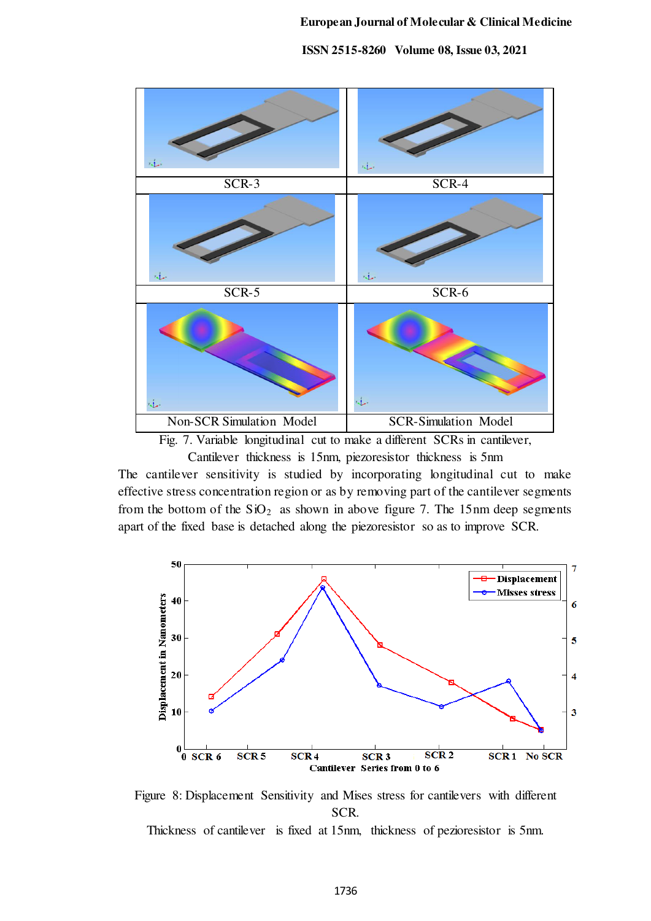

Cantilever thickness is 15nm, piezoresistor thickness is 5nm

The cantilever sensitivity is studied by incorporating longitudinal cut to make effective stress concentration region or as by removing part of the cantilever segments from the bottom of the  $SiO<sub>2</sub>$  as shown in above figure 7. The 15nm deep segments apart of the fixed base is detached along the piezoresistor so as to improve SCR.



Figure 8: Displacement Sensitivity and Mises stress for cantilevers with different SCR.

Thickness of cantilever is fixed at 15nm, thickness of pezioresistor is 5nm.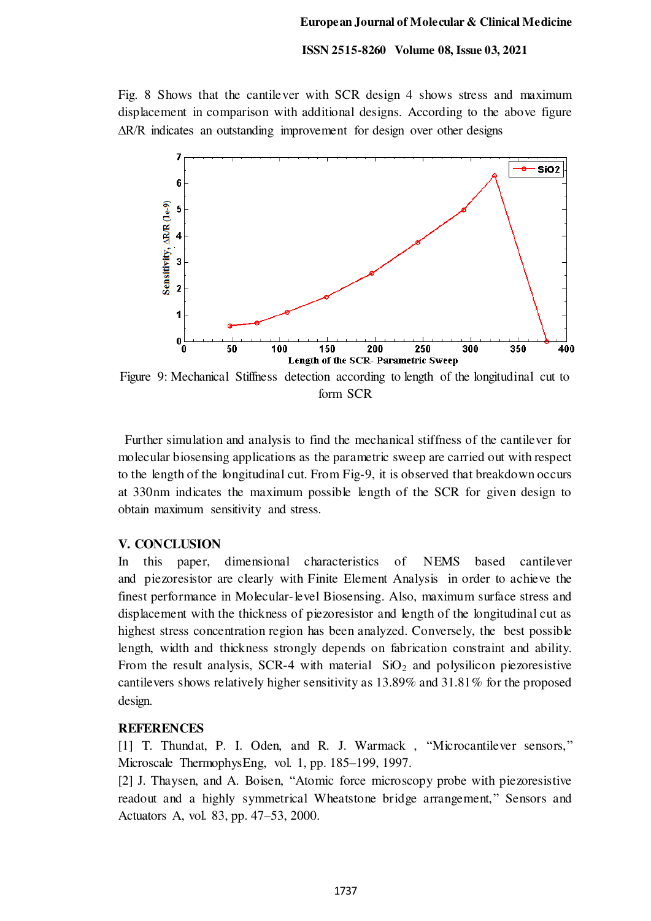Fig. 8 Shows that the cantilever with SCR design 4 shows stress and maximum displacement in comparison with additional designs. According to the above figure ∆R/R indicates an outstanding improvement for design over other designs



form SCR

 Further simulation and analysis to find the mechanical stiffness of the cantilever for molecular biosensing applications as the parametric sweep are carried out with respect to the length of the longitudinal cut. From Fig-9, it is observed that breakdown occurs at 330nm indicates the maximum possible length of the SCR for given design to obtain maximum sensitivity and stress.

## **V. CONCLUSION**

In this paper, dimensional characteristics of NEMS based cantilever and piezoresistor are clearly with Finite Element Analysis in order to achieve the finest performance in Molecular-level Biosensing. Also, maximum surface stress and displacement with the thickness of piezoresistor and length of the longitudinal cut as highest stress concentration region has been analyzed. Conversely, the best possible length, width and thickness strongly depends on fabrication constraint and ability. From the result analysis, SCR-4 with material  $SiO<sub>2</sub>$  and polysilicon piezoresistive cantilevers shows relatively higher sensitivity as 13.89% and 31.81% for the proposed design.

## **REFERENCES**

[1] T. Thundat, P. I. Oden, and R. J. Warmack , "Microcantilever sensors," Microscale ThermophysEng, vol. 1, pp. 185–199, 1997.

[2] J. Thaysen, and A. Boisen, "Atomic force microscopy probe with piezoresistive readout and a highly symmetrical Wheatstone bridge arrangement," Sensors and Actuators A, vol. 83, pp. 47–53, 2000.